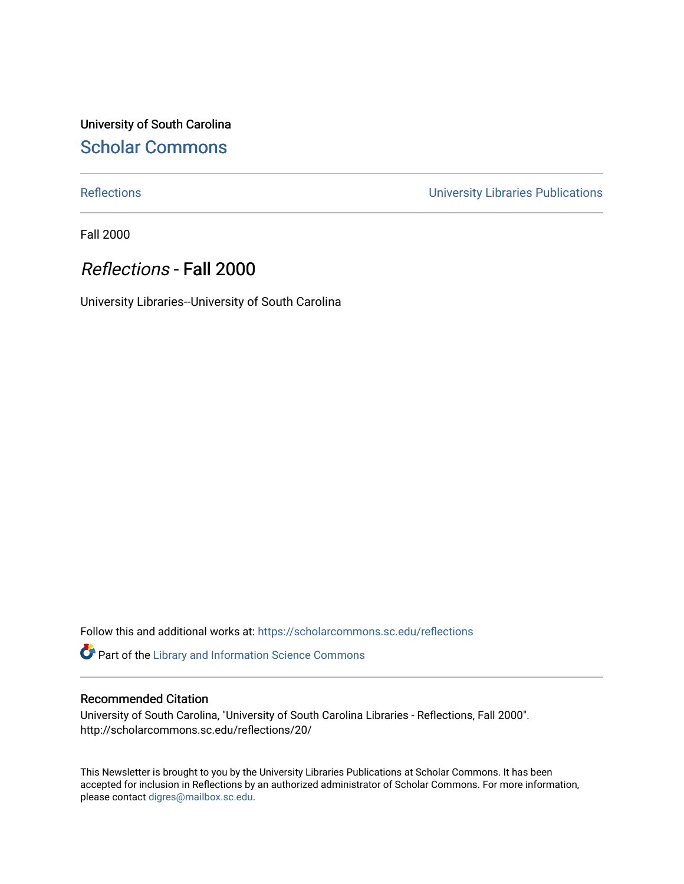University of South Carolina [Scholar Commons](https://scholarcommons.sc.edu/) 

[Reflections](https://scholarcommons.sc.edu/reflections) [University Libraries Publications](https://scholarcommons.sc.edu/lib_pubs) 

Fall 2000

### Reflections - Fall 2000

University Libraries--University of South Carolina

Follow this and additional works at: [https://scholarcommons.sc.edu/reflections](https://scholarcommons.sc.edu/reflections?utm_source=scholarcommons.sc.edu%2Freflections%2F20&utm_medium=PDF&utm_campaign=PDFCoverPages) 

Part of the [Library and Information Science Commons](http://network.bepress.com/hgg/discipline/1018?utm_source=scholarcommons.sc.edu%2Freflections%2F20&utm_medium=PDF&utm_campaign=PDFCoverPages) 

#### Recommended Citation

University of South Carolina, "University of South Carolina Libraries - Reflections, Fall 2000". http://scholarcommons.sc.edu/reflections/20/

This Newsletter is brought to you by the University Libraries Publications at Scholar Commons. It has been accepted for inclusion in Reflections by an authorized administrator of Scholar Commons. For more information, please contact [digres@mailbox.sc.edu](mailto:digres@mailbox.sc.edu).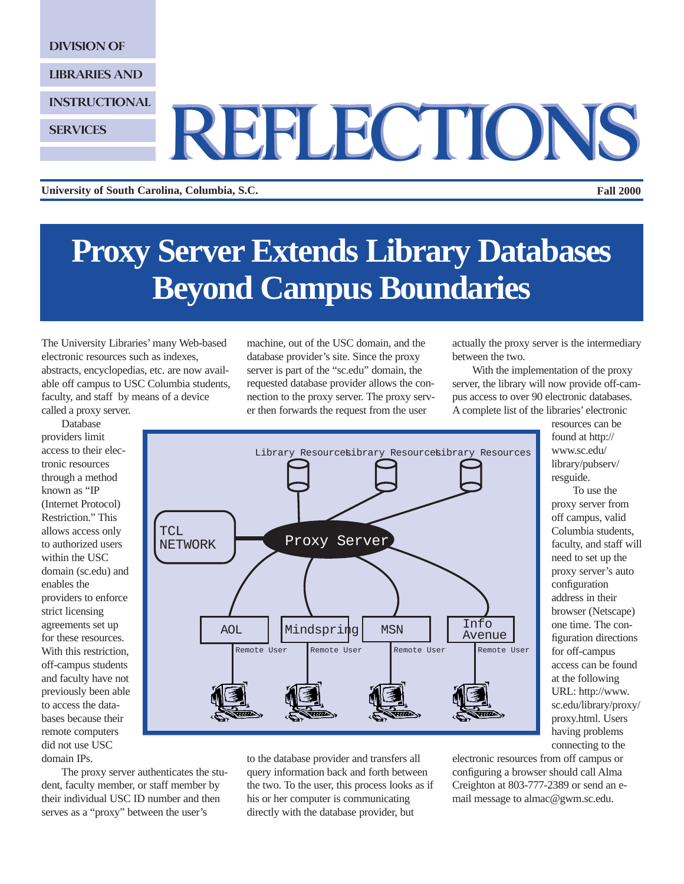DIVISION OF

LIBRARIES AND

INSTRUCTIONAL

#### **SERVICES**

# REFLECTIONS REFLECTIONS

**University of South Carolina, Columbia, S.C. Fall 2000**

## **Proxy Server Extends Library Databases Beyond Campus Boundaries**

The University Libraries' many Web-based electronic resources such as indexes, abstracts, encyclopedias, etc. are now available off campus to USC Columbia students, faculty, and staff by means of a device called a proxy server.

Database providers limit access to their electronic resources through a method known as "IP (Internet Protocol) Restriction." This allows access only to authorized users within the USC domain (sc.edu) and enables the providers to enforce strict licensing agreements set up for these resources. With this restriction, off-campus students and faculty have not previously been able to access the databases because their remote computers did not use USC domain IPs.

machine, out of the USC domain, and the database provider's site. Since the proxy server is part of the "sc.edu" domain, the requested database provider allows the connection to the proxy server. The proxy server then forwards the request from the user

actually the proxy server is the intermediary between the two.

With the implementation of the proxy server, the library will now provide off-campus access to over 90 electronic databases. A complete list of the libraries' electronic

To use the



The proxy server authenticates the student, faculty member, or staff member by their individual USC ID number and then serves as a "proxy" between the user's

to the database provider and transfers all query information back and forth between the two. To the user, this process looks as if his or her computer is communicating directly with the database provider, but

electronic resources from off campus or configuring a browser should call Alma Creighton at 803-777-2389 or send an email message to almac@gwm.sc.edu.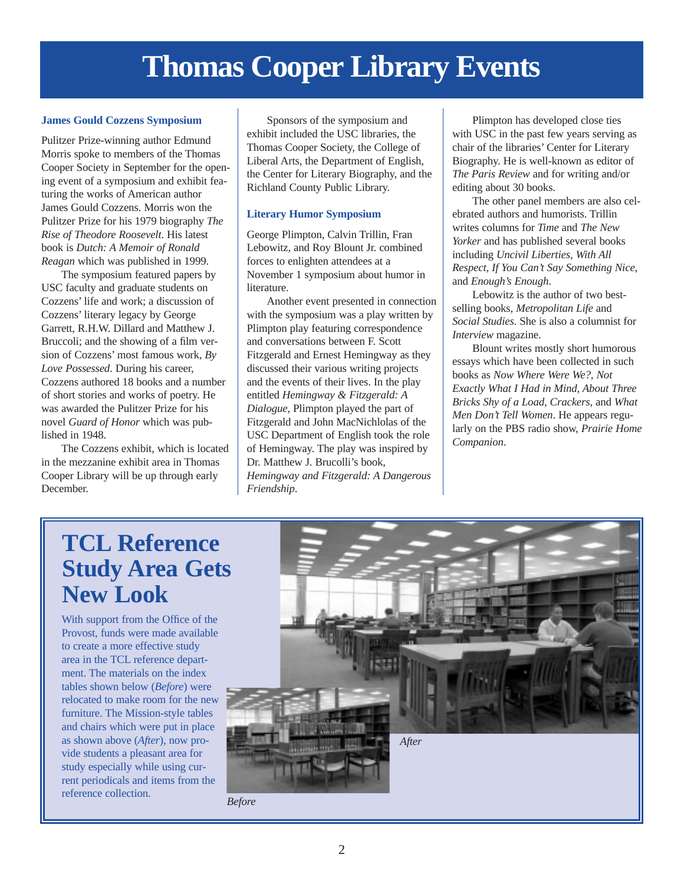## **Thomas Cooper Library Events**

#### **James Gould Cozzens Symposium**

Pulitzer Prize-winning author Edmund Morris spoke to members of the Thomas Cooper Society in September for the opening event of a symposium and exhibit featuring the works of American author James Gould Cozzens. Morris won the Pulitzer Prize for his 1979 biography *The Rise of Theodore Roosevelt*. His latest book is *Dutch: A Memoir of Ronald Reagan* which was published in 1999.

The symposium featured papers by USC faculty and graduate students on Cozzens' life and work; a discussion of Cozzens' literary legacy by George Garrett, R.H.W. Dillard and Matthew J. Bruccoli; and the showing of a film version of Cozzens' most famous work, *By Love Possessed*. During his career, Cozzens authored 18 books and a number of short stories and works of poetry. He was awarded the Pulitzer Prize for his novel *Guard of Honor* which was published in 1948.

The Cozzens exhibit, which is located in the mezzanine exhibit area in Thomas Cooper Library will be up through early December.

Sponsors of the symposium and exhibit included the USC libraries, the Thomas Cooper Society, the College of Liberal Arts, the Department of English, the Center for Literary Biography, and the Richland County Public Library.

#### **Literary Humor Symposium**

George Plimpton, Calvin Trillin, Fran Lebowitz, and Roy Blount Jr. combined forces to enlighten attendees at a November 1 symposium about humor in literature.

Another event presented in connection with the symposium was a play written by Plimpton play featuring correspondence and conversations between F. Scott Fitzgerald and Ernest Hemingway as they discussed their various writing projects and the events of their lives. In the play entitled *Hemingway & Fitzgerald: A Dialogue*, Plimpton played the part of Fitzgerald and John MacNichlolas of the USC Department of English took the role of Hemingway. The play was inspired by Dr. Matthew J. Brucolli's book, *Hemingway and Fitzgerald: A Dangerous Friendship*.

Plimpton has developed close ties with USC in the past few years serving as chair of the libraries' Center for Literary Biography. He is well-known as editor of *The Paris Review* and for writing and/or editing about 30 books.

The other panel members are also celebrated authors and humorists. Trillin writes columns for *Time* and *The New Yorker* and has published several books including *Uncivil Liberties*, *With All Respect, If You Can't Say Something Nice*, and *Enough's Enough*.

Lebowitz is the author of two bestselling books, *Metropolitan Life* and *Social Studies*. She is also a columnist for *Interview* magazine.

Blount writes mostly short humorous essays which have been collected in such books as *Now Where Were We?, Not Exactly What I Had in Mind, About Three Bricks Shy of a Load, Crackers*, and *What Men Don't Tell Women*. He appears regularly on the PBS radio show, *Prairie Home Companion*.

## **TCL Reference Study Area Gets New Look**

With support from the Office of the Provost, funds were made available to create a more effective study area in the TCL reference department. The materials on the index tables shown below (*Before*) were relocated to make room for the new furniture. The Mission-style tables and chairs which were put in place as shown above (*After*), now provide students a pleasant area for study especially while using current periodicals and items from the reference collection.



*Before*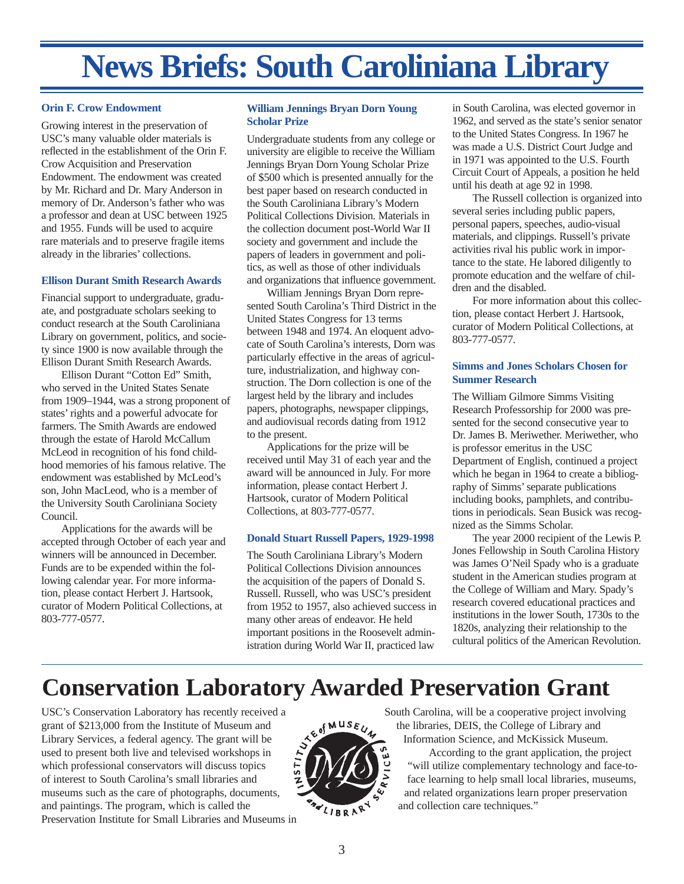## **News Briefs: South Caroliniana Library**

#### **Orin F. Crow Endowment**

Growing interest in the preservation of USC's many valuable older materials is reflected in the establishment of the Orin F. Crow Acquisition and Preservation Endowment. The endowment was created by Mr. Richard and Dr. Mary Anderson in memory of Dr. Anderson's father who was a professor and dean at USC between 1925 and 1955. Funds will be used to acquire rare materials and to preserve fragile items already in the libraries' collections.

#### **Ellison Durant Smith Research Awards**

Financial support to undergraduate, graduate, and postgraduate scholars seeking to conduct research at the South Caroliniana Library on government, politics, and society since 1900 is now available through the Ellison Durant Smith Research Awards.

Ellison Durant "Cotton Ed" Smith, who served in the United States Senate from 1909–1944, was a strong proponent of states'rights and a powerful advocate for farmers. The Smith Awards are endowed through the estate of Harold McCallum McLeod in recognition of his fond childhood memories of his famous relative. The endowment was established by McLeod's son, John MacLeod, who is a member of the University South Caroliniana Society Council.

Applications for the awards will be accepted through October of each year and winners will be announced in December. Funds are to be expended within the following calendar year. For more information, please contact Herbert J. Hartsook, curator of Modern Political Collections, at 803-777-0577.

#### **William Jennings Bryan Dorn Young Scholar Prize**

Undergraduate students from any college or university are eligible to receive the William Jennings Bryan Dorn Young Scholar Prize of \$500 which is presented annually for the best paper based on research conducted in the South Caroliniana Library's Modern Political Collections Division. Materials in the collection document post-World War II society and government and include the papers of leaders in government and politics, as well as those of other individuals and organizations that influence government.

William Jennings Bryan Dorn represented South Carolina's Third District in the United States Congress for 13 terms between 1948 and 1974. An eloquent advocate of South Carolina's interests, Dorn was particularly effective in the areas of agriculture, industrialization, and highway construction. The Dorn collection is one of the largest held by the library and includes papers, photographs, newspaper clippings, and audiovisual records dating from 1912 to the present.

Applications for the prize will be received until May 31 of each year and the award will be announced in July. For more information, please contact Herbert J. Hartsook, curator of Modern Political Collections, at 803-777-0577.

#### **Donald Stuart Russell Papers, 1929-1998**

The South Caroliniana Library's Modern Political Collections Division announces the acquisition of the papers of Donald S. Russell. Russell, who was USC's president from 1952 to 1957, also achieved success in many other areas of endeavor. He held important positions in the Roosevelt administration during World War II, practiced law

in South Carolina, was elected governor in 1962, and served as the state's senior senator to the United States Congress. In 1967 he was made a U.S. District Court Judge and in 1971 was appointed to the U.S. Fourth Circuit Court of Appeals, a position he held until his death at age 92 in 1998.

The Russell collection is organized into several series including public papers, personal papers, speeches, audio-visual materials, and clippings. Russell's private activities rival his public work in importance to the state. He labored diligently to promote education and the welfare of children and the disabled.

For more information about this collection, please contact Herbert J. Hartsook, curator of Modern Political Collections, at 803-777-0577.

#### **Simms and Jones Scholars Chosen for Summer Research**

The William Gilmore Simms Visiting Research Professorship for 2000 was presented for the second consecutive year to Dr. James B. Meriwether. Meriwether, who is professor emeritus in the USC Department of English, continued a project which he began in 1964 to create a bibliography of Simms'separate publications including books, pamphlets, and contributions in periodicals. Sean Busick was recognized as the Simms Scholar.

The year 2000 recipient of the Lewis P. Jones Fellowship in South Carolina History was James O'Neil Spady who is a graduate student in the American studies program at the College of William and Mary. Spady's research covered educational practices and institutions in the lower South, 1730s to the 1820s, analyzing their relationship to the cultural politics of the American Revolution.

### **Conservation Laboratory Awarded Preservation Grant**

USC's Conservation Laboratory has recently received a<br>grant of \$213,000 from the Institute of Museum and<br>Library Services, a federal agency. The grant will be<br>used to present both live and televised workshops is<br>which pro grant of \$213,000 from the Institute of Museum and Library Services, a federal agency. The grant will be used to present both live and televised workshops in which professional conservators will discuss topics of interest to South Carolina's small libraries and museums such as the care of photographs, documents, and paintings. The program, which is called the Preservation Institute for Small Libraries and Museums in



South Carolina, will be a cooperative project involving the libraries, DEIS, the College of Library and Information Science, and McKissick Museum.

According to the grant application, the project "will utilize complementary technology and face-toface learning to help small local libraries, museums, and related organizations learn proper preservation and collection care techniques."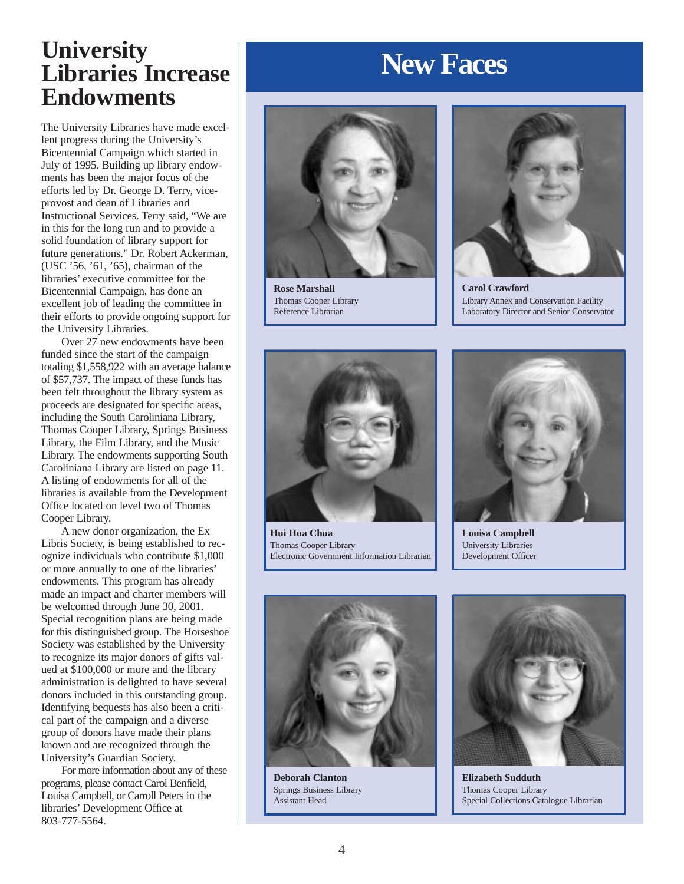## **University**<br> **Libraries Increase Endowments**

The University Libraries have made excellent progress during the University's Bicentennial Campaign which started in July of 1995. Building up library endowments has been the major focus of the efforts led by Dr. George D. Terry, viceprovost and dean of Libraries and Instructional Services. Terry said, "We are in this for the long run and to provide a solid foundation of library support for future generations." Dr. Robert Ackerman, (USC '56, '61, '65), chairman of the libraries' executive committee for the Bicentennial Campaign, has done an excellent job of leading the committee in their efforts to provide ongoing support for the University Libraries.

Over 27 new endowments have been funded since the start of the campaign totaling \$1,558,922 with an average balance of \$57,737. The impact of these funds has been felt throughout the library system as proceeds are designated for specific areas, including the South Caroliniana Library, Thomas Cooper Library, Springs Business Library, the Film Library, and the Music Library. The endowments supporting South Caroliniana Library are listed on page 11. A listing of endowments for all of the libraries is available from the Development Office located on level two of Thomas Cooper Library.

A new donor organization, the Ex Libris Society, is being established to recognize individuals who contribute \$1,000 or more annually to one of the libraries' endowments. This program has already made an impact and charter members will be welcomed through June 30, 2001. Special recognition plans are being made for this distinguished group. The Horseshoe Society was established by the University to recognize its major donors of gifts valued at \$100,000 or more and the library administration is delighted to have several donors included in this outstanding group. Identifying bequests has also been a critical part of the campaign and a diverse group of donors have made their plans known and are recognized through the University's Guardian Society.

For more information about any of these programs, please contact Carol Benfield, Louisa Campbell, or Carroll Peters in the libraries' Development Office at 803-777-5564.



**Rose Marshall** Thomas Cooper Library Reference Librarian



**Carol Crawford** Library Annex and Conservation Facility Laboratory Director and Senior Conservator



**Hui Hua Chua** Thomas Cooper Library Electronic Government Information Librarian



**Louisa Campbell** University Libraries Development Officer



**Deborah Clanton** Springs Business Library Assistant Head



**Elizabeth Sudduth** Thomas Cooper Library Special Collections Catalogue Librarian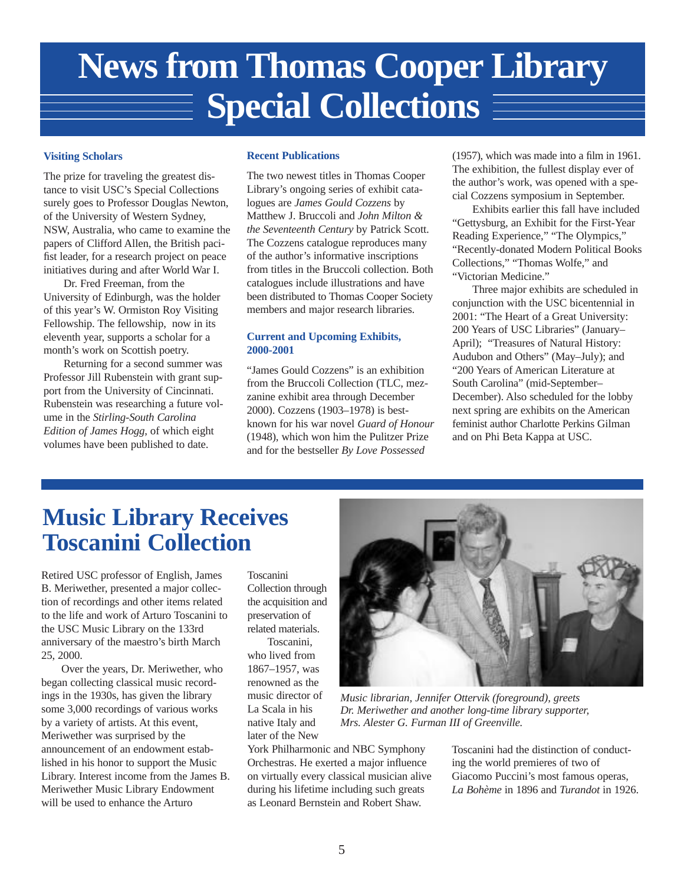## **News from Thomas Cooper Library Special Collections**

#### **Visiting Scholars**

The prize for traveling the greatest distance to visit USC's Special Collections surely goes to Professor Douglas Newton, of the University of Western Sydney, NSW, Australia, who came to examine the papers of Clifford Allen, the British pacifist leader, for a research project on peace initiatives during and after World War I.

Dr. Fred Freeman, from the University of Edinburgh, was the holder of this year's W. Ormiston Roy Visiting Fellowship. The fellowship, now in its eleventh year, supports a scholar for a month's work on Scottish poetry.

Returning for a second summer was Professor Jill Rubenstein with grant support from the University of Cincinnati. Rubenstein was researching a future volume in the *Stirling-South Carolina Edition of James Hogg*, of which eight volumes have been published to date.

#### **Recent Publications**

The two newest titles in Thomas Cooper Library's ongoing series of exhibit catalogues are *James Gould Cozzens* by Matthew J. Bruccoli and *John Milton & the Seventeenth Century* by Patrick Scott. The Cozzens catalogue reproduces many of the author's informative inscriptions from titles in the Bruccoli collection. Both catalogues include illustrations and have been distributed to Thomas Cooper Society members and major research libraries.

#### **Current and Upcoming Exhibits, 2000-2001**

"James Gould Cozzens" is an exhibition from the Bruccoli Collection (TLC, mezzanine exhibit area through December 2000). Cozzens (1903–1978) is bestknown for his war novel *Guard of Honour* (1948), which won him the Pulitzer Prize and for the bestseller *By Love Possessed*

(1957), which was made into a film in 1961. The exhibition, the fullest display ever of the author's work, was opened with a special Cozzens symposium in September.

Exhibits earlier this fall have included "Gettysburg, an Exhibit for the First-Year Reading Experience," "The Olympics," "Recently-donated Modern Political Books Collections," "Thomas Wolfe," and "Victorian Medicine."

Three major exhibits are scheduled in conjunction with the USC bicentennial in 2001: "The Heart of a Great University: 200 Years of USC Libraries" (January– April); "Treasures of Natural History: Audubon and Others" (May–July); and "200 Years of American Literature at South Carolina" (mid-September– December). Also scheduled for the lobby next spring are exhibits on the American feminist author Charlotte Perkins Gilman and on Phi Beta Kappa at USC.

### **Music Library Receives Toscanini Collection**

Retired USC professor of English, James B. Meriwether, presented a major collection of recordings and other items related to the life and work of Arturo Toscanini to the USC Music Library on the 133rd anniversary of the maestro's birth March 25, 2000.

Over the years, Dr. Meriwether, who began collecting classical music recordings in the 1930s, has given the library some 3,000 recordings of various works by a variety of artists. At this event, Meriwether was surprised by the announcement of an endowment established in his honor to support the Music Library. Interest income from the James B. Meriwether Music Library Endowment will be used to enhance the Arturo

Toscanini Collection through the acquisition and preservation of related materials.

Toscanini, who lived from 1867–1957, was renowned as the music director of La Scala in his native Italy and later of the New



*Music librarian, Jennifer Ottervik (foreground), greets Dr. Meriwether and another long-time library supporter, Mrs. Alester G. Furman III of Greenville.*

Toscanini had the distinction of conducting the world premieres of two of Giacomo Puccini's most famous operas, *La Bohème* in 1896 and *Turandot* in 1926.

York Philharmonic and NBC Symphony Orchestras. He exerted a major influence on virtually every classical musician alive during his lifetime including such greats as Leonard Bernstein and Robert Shaw.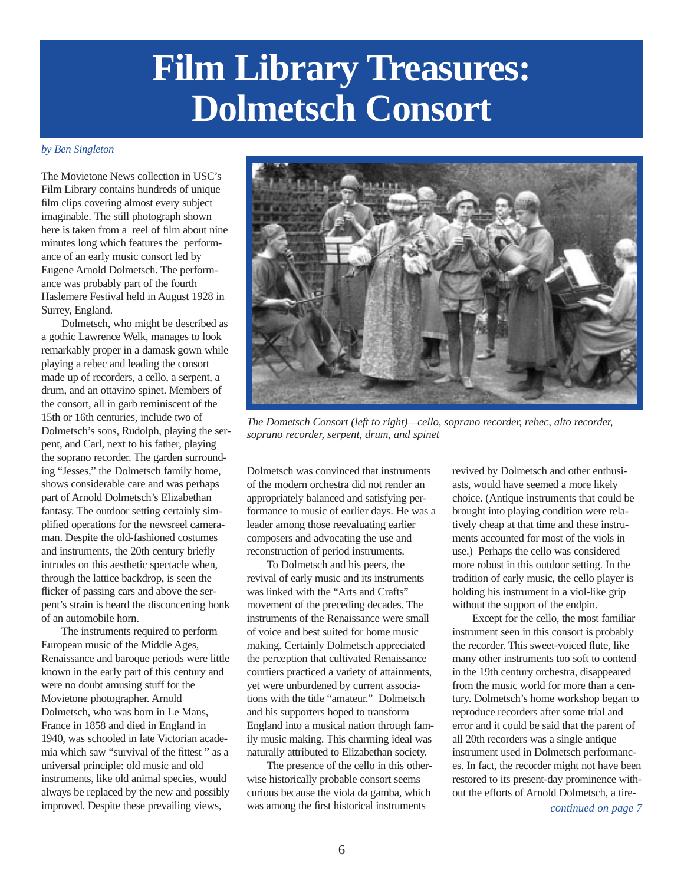## **Film Library Treasures: Dolmetsch Consort**

#### *by Ben Singleton*

The Movietone News collection in USC's Film Library contains hundreds of unique film clips covering almost every subject imaginable. The still photograph shown here is taken from a reel of film about nine minutes long which features the performance of an early music consort led by Eugene Arnold Dolmetsch. The performance was probably part of the fourth Haslemere Festival held in August 1928 in Surrey, England.

Dolmetsch, who might be described as a gothic Lawrence Welk, manages to look remarkably proper in a damask gown while playing a rebec and leading the consort made up of recorders, a cello, a serpent, a drum, and an ottavino spinet. Members of the consort, all in garb reminiscent of the 15th or 16th centuries, include two of Dolmetsch's sons, Rudolph, playing the serpent, and Carl, next to his father, playing the soprano recorder. The garden surrounding "Jesses," the Dolmetsch family home, shows considerable care and was perhaps part of Arnold Dolmetsch's Elizabethan fantasy. The outdoor setting certainly simplified operations for the newsreel cameraman. Despite the old-fashioned costumes and instruments, the 20th century briefly intrudes on this aesthetic spectacle when, through the lattice backdrop, is seen the flicker of passing cars and above the serpent's strain is heard the disconcerting honk of an automobile horn.

The instruments required to perform European music of the Middle Ages, Renaissance and baroque periods were little known in the early part of this century and were no doubt amusing stuff for the Movietone photographer. Arnold Dolmetsch, who was born in Le Mans, France in 1858 and died in England in 1940, was schooled in late Victorian academia which saw "survival of the fittest " as a universal principle: old music and old instruments, like old animal species, would always be replaced by the new and possibly improved. Despite these prevailing views,



*The Dometsch Consort (left to right)—cello, soprano recorder, rebec, alto recorder, soprano recorder, serpent, drum, and spinet*

Dolmetsch was convinced that instruments of the modern orchestra did not render an appropriately balanced and satisfying performance to music of earlier days. He was a leader among those reevaluating earlier composers and advocating the use and reconstruction of period instruments.

To Dolmetsch and his peers, the revival of early music and its instruments was linked with the "Arts and Crafts" movement of the preceding decades. The instruments of the Renaissance were small of voice and best suited for home music making. Certainly Dolmetsch appreciated the perception that cultivated Renaissance courtiers practiced a variety of attainments, yet were unburdened by current associations with the title "amateur." Dolmetsch and his supporters hoped to transform England into a musical nation through family music making. This charming ideal was naturally attributed to Elizabethan society.

The presence of the cello in this otherwise historically probable consort seems curious because the viola da gamba, which was among the first historical instruments

revived by Dolmetsch and other enthusiasts, would have seemed a more likely choice. (Antique instruments that could be brought into playing condition were relatively cheap at that time and these instruments accounted for most of the viols in use.) Perhaps the cello was considered more robust in this outdoor setting. In the tradition of early music, the cello player is holding his instrument in a viol-like grip without the support of the endpin.

Except for the cello, the most familiar instrument seen in this consort is probably the recorder. This sweet-voiced flute, like many other instruments too soft to contend in the 19th century orchestra, disappeared from the music world for more than a century. Dolmetsch's home workshop began to reproduce recorders after some trial and error and it could be said that the parent of all 20th recorders was a single antique instrument used in Dolmetsch performances. In fact, the recorder might not have been restored to its present-day prominence without the efforts of Arnold Dolmetsch, a tire-

*continued on page 7*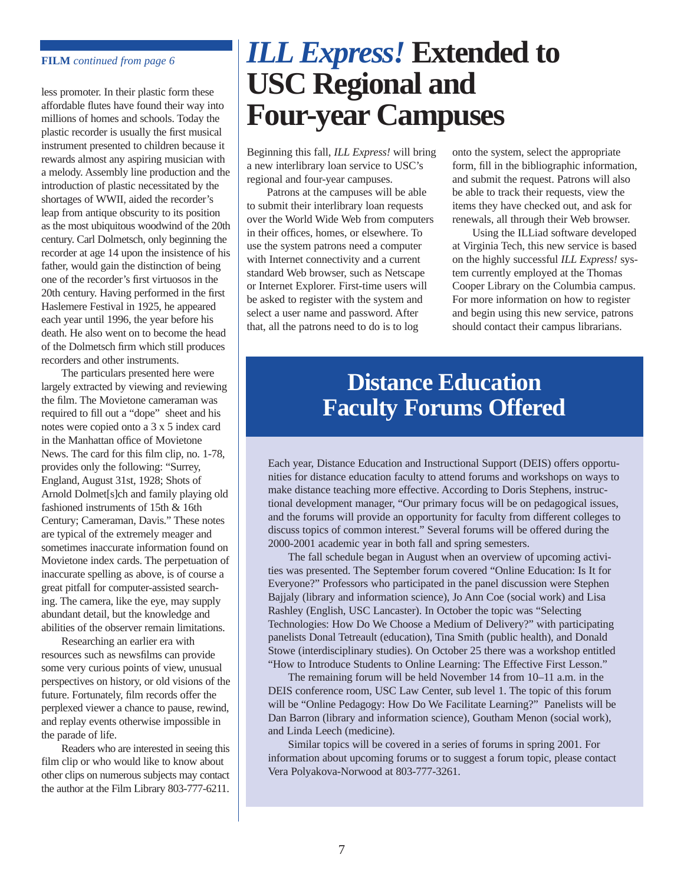#### **FILM** *continued from page 6*

less promoter. In their plastic form these affordable flutes have found their way into millions of homes and schools. Today the plastic recorder is usually the first musical instrument presented to children because it rewards almost any aspiring musician with a melody. Assembly line production and the introduction of plastic necessitated by the shortages of WWII, aided the recorder's leap from antique obscurity to its position as the most ubiquitous woodwind of the 20th century. Carl Dolmetsch, only beginning the recorder at age 14 upon the insistence of his father, would gain the distinction of being one of the recorder's first virtuosos in the 20th century. Having performed in the first Haslemere Festival in 1925, he appeared each year until 1996, the year before his death. He also went on to become the head of the Dolmetsch firm which still produces recorders and other instruments.

The particulars presented here were largely extracted by viewing and reviewing the film. The Movietone cameraman was required to fill out a "dope" sheet and his notes were copied onto a 3 x 5 index card in the Manhattan office of Movietone News. The card for this film clip, no. 1-78, provides only the following: "Surrey, England, August 31st, 1928; Shots of Arnold Dolmet[s]ch and family playing old fashioned instruments of 15th & 16th Century; Cameraman, Davis." These notes are typical of the extremely meager and sometimes inaccurate information found on Movietone index cards. The perpetuation of inaccurate spelling as above, is of course a great pitfall for computer-assisted searching. The camera, like the eye, may supply abundant detail, but the knowledge and abilities of the observer remain limitations.

Researching an earlier era with resources such as newsfilms can provide some very curious points of view, unusual perspectives on history, or old visions of the future. Fortunately, film records offer the perplexed viewer a chance to pause, rewind, and replay events otherwise impossible in the parade of life.

Readers who are interested in seeing this film clip or who would like to know about other clips on numerous subjects may contact the author at the Film Library 803-777-6211.

## *ILLExpress!* **Extended to USC Regional and Four-year Campuses**

Beginning this fall, *ILL Express!* will bring a new interlibrary loan service to USC's regional and four-year campuses.

Patrons at the campuses will be able to submit their interlibrary loan requests over the World Wide Web from computers in their offices, homes, or elsewhere. To use the system patrons need a computer with Internet connectivity and a current standard Web browser, such as Netscape or Internet Explorer. First-time users will be asked to register with the system and select a user name and password. After that, all the patrons need to do is to log

onto the system, select the appropriate form, fill in the bibliographic information, and submit the request. Patrons will also be able to track their requests, view the items they have checked out, and ask for renewals, all through their Web browser.

Using the ILLiad software developed at Virginia Tech, this new service is based on the highly successful *ILL Express!* system currently employed at the Thomas Cooper Library on the Columbia campus. For more information on how to register and begin using this new service, patrons should contact their campus librarians.

### **Distance Education Faculty Forums Offered**

Each year, Distance Education and Instructional Support (DEIS) offers opportunities for distance education faculty to attend forums and workshops on ways to make distance teaching more effective. According to Doris Stephens, instructional development manager, "Our primary focus will be on pedagogical issues, and the forums will provide an opportunity for faculty from different colleges to discuss topics of common interest." Several forums will be offered during the 2000-2001 academic year in both fall and spring semesters.

The fall schedule began in August when an overview of upcoming activities was presented. The September forum covered "Online Education: Is It for Everyone?" Professors who participated in the panel discussion were Stephen Bajjaly (library and information science), Jo Ann Coe (social work) and Lisa Rashley (English, USC Lancaster). In October the topic was "Selecting Technologies: How Do We Choose a Medium of Delivery?" with participating panelists Donal Tetreault (education), Tina Smith (public health), and Donald Stowe (interdisciplinary studies). On October 25 there was a workshop entitled "How to Introduce Students to Online Learning: The Effective First Lesson."

The remaining forum will be held November 14 from 10–11 a.m. in the DEIS conference room, USC Law Center, sub level 1. The topic of this forum will be "Online Pedagogy: How Do We Facilitate Learning?" Panelists will be Dan Barron (library and information science), Goutham Menon (social work), and Linda Leech (medicine).

Similar topics will be covered in a series of forums in spring 2001. For information about upcoming forums or to suggest a forum topic, please contact Vera Polyakova-Norwood at 803-777-3261.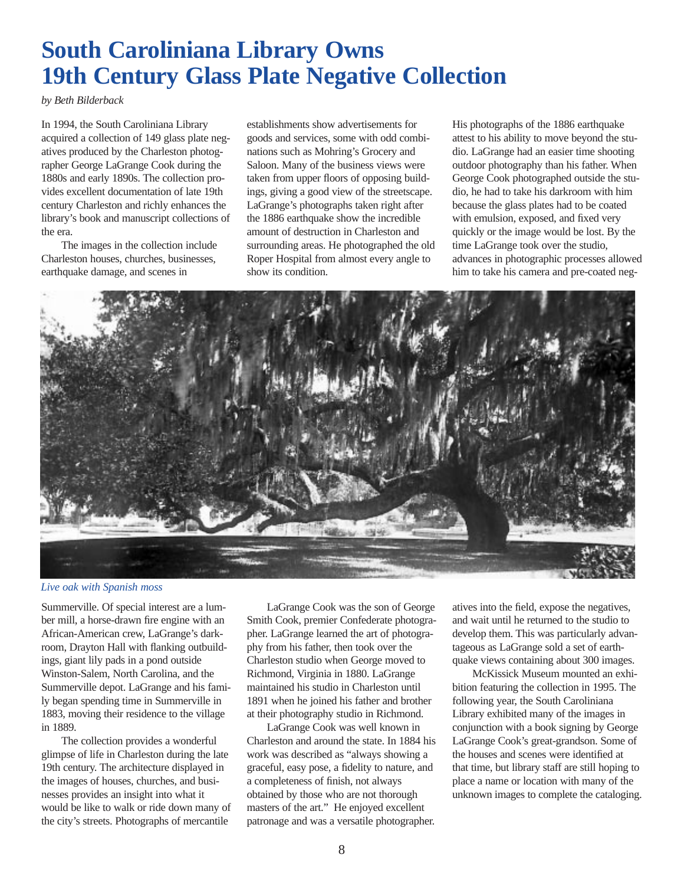## **South Caroliniana Library Owns 19th Century Glass Plate Negative Collection**

*by Beth Bilderback*

In 1994, the South Caroliniana Library acquired a collection of 149 glass plate negatives produced by the Charleston photographer George LaGrange Cook during the 1880s and early 1890s. The collection provides excellent documentation of late 19th century Charleston and richly enhances the library's book and manuscript collections of the era.

The images in the collection include Charleston houses, churches, businesses, earthquake damage, and scenes in

establishments show advertisements for goods and services, some with odd combinations such as Mohring's Grocery and Saloon. Many of the business views were taken from upper floors of opposing buildings, giving a good view of the streetscape. LaGrange's photographs taken right after the 1886 earthquake show the incredible amount of destruction in Charleston and surrounding areas. He photographed the old Roper Hospital from almost every angle to show its condition.

His photographs of the 1886 earthquake attest to his ability to move beyond the studio. LaGrange had an easier time shooting outdoor photography than his father. When George Cook photographed outside the studio, he had to take his darkroom with him because the glass plates had to be coated with emulsion, exposed, and fixed very quickly or the image would be lost. By the time LaGrange took over the studio, advances in photographic processes allowed him to take his camera and pre-coated neg-



*Live oak with Spanish moss*

Summerville. Of special interest are a lumber mill, a horse-drawn fire engine with an African-American crew, LaGrange's darkroom, Drayton Hall with flanking outbuildings, giant lily pads in a pond outside Winston-Salem, North Carolina, and the Summerville depot. LaGrange and his family began spending time in Summerville in 1883, moving their residence to the village in 1889.

The collection provides a wonderful glimpse of life in Charleston during the late 19th century. The architecture displayed in the images of houses, churches, and businesses provides an insight into what it would be like to walk or ride down many of the city's streets. Photographs of mercantile

LaGrange Cook was the son of George Smith Cook, premier Confederate photographer. LaGrange learned the art of photography from his father, then took over the Charleston studio when George moved to Richmond, Virginia in 1880. LaGrange maintained his studio in Charleston until 1891 when he joined his father and brother at their photography studio in Richmond.

LaGrange Cook was well known in Charleston and around the state. In 1884 his work was described as "always showing a graceful, easy pose, a fidelity to nature, and a completeness of finish, not always obtained by those who are not thorough masters of the art." He enjoyed excellent patronage and was a versatile photographer.

atives into the field, expose the negatives, and wait until he returned to the studio to develop them. This was particularly advantageous as LaGrange sold a set of earthquake views containing about 300 images.

McKissick Museum mounted an exhibition featuring the collection in 1995. The following year, the South Caroliniana Library exhibited many of the images in conjunction with a book signing by George LaGrange Cook's great-grandson. Some of the houses and scenes were identified at that time, but library staff are still hoping to place a name or location with many of the unknown images to complete the cataloging.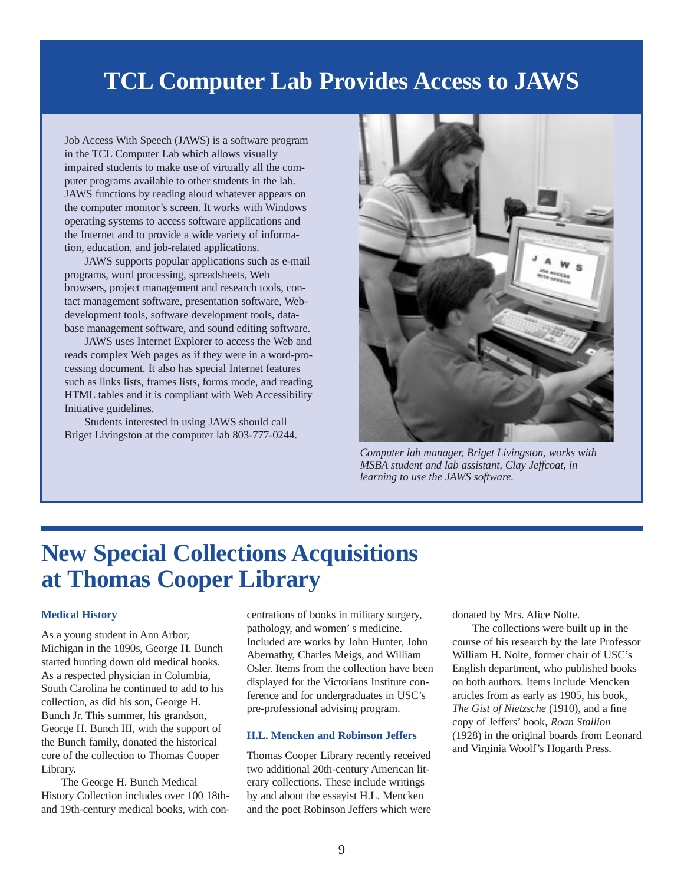### **TCL Computer Lab Provides Access to JAWS**

Job Access With Speech (JAWS) is a software program in the TCL Computer Lab which allows visually impaired students to make use of virtually all the computer programs available to other students in the lab. JAWS functions by reading aloud whatever appears on the computer monitor's screen. It works with Windows operating systems to access software applications and the Internet and to provide a wide variety of information, education, and job-related applications.

JAWS supports popular applications such as e-mail programs, word processing, spreadsheets, Web browsers, project management and research tools, contact management software, presentation software, Webdevelopment tools, software development tools, database management software, and sound editing software.

JAWS uses Internet Explorer to access the Web and reads complex Web pages as if they were in a word-processing document. It also has special Internet features such as links lists, frames lists, forms mode, and reading HTML tables and it is compliant with Web Accessibility Initiative guidelines.

Students interested in using JAWS should call Briget Livingston at the computer lab 803-777-0244.



*Computer lab manager, Briget Livingston, works with MSBA student and lab assistant, Clay Jeffcoat, in learning to use the JAWS software.*

### **New Special Collections Acquisitions at Thomas Cooper Library**

#### **Medical History**

As a young student in Ann Arbor, Michigan in the 1890s, George H. Bunch started hunting down old medical books. As a respected physician in Columbia, South Carolina he continued to add to his collection, as did his son, George H. Bunch Jr. This summer, his grandson, George H. Bunch III, with the support of the Bunch family, donated the historical core of the collection to Thomas Cooper Library.

The George H. Bunch Medical History Collection includes over 100 18thand 19th-century medical books, with concentrations of books in military surgery, pathology, and women's medicine. Included are works by John Hunter, John Abernathy, Charles Meigs, and William Osler. Items from the collection have been displayed for the Victorians Institute conference and for undergraduates in USC's pre-professional advising program.

#### **H.L. Mencken and Robinson Jeffers**

Thomas Cooper Library recently received two additional 20th-century American literary collections. These include writings by and about the essayist H.L. Mencken and the poet Robinson Jeffers which were donated by Mrs. Alice Nolte.

The collections were built up in the course of his research by the late Professor William H. Nolte, former chair of USC's English department, who published books on both authors. Items include Mencken articles from as early as 1905, his book, *The Gist of Nietzsche* (1910), and a fine copy of Jeffers' book, *Roan Stallion* (1928) in the original boards from Leonard and Virginia Woolf's Hogarth Press.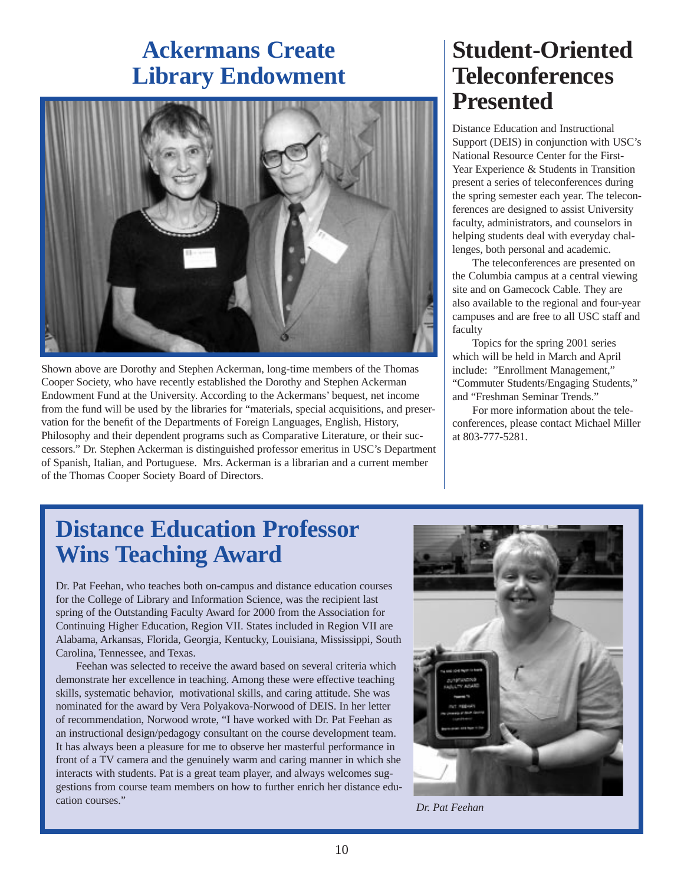## **Ackermans Create Library Endowment**



Shown above are Dorothy and Stephen Ackerman, long-time members of the Thomas Cooper Society, who have recently established the Dorothy and Stephen Ackerman Endowment Fund at the University. According to the Ackermans' bequest, net income from the fund will be used by the libraries for "materials, special acquisitions, and preservation for the benefit of the Departments of Foreign Languages, English, History, Philosophy and their dependent programs such as Comparative Literature, or their successors." Dr. Stephen Ackerman is distinguished professor emeritus in USC's Department of Spanish, Italian, and Portuguese. Mrs. Ackerman is a librarian and a current member of the Thomas Cooper Society Board of Directors.

### **Student-Oriented Teleconferences Presented**

Distance Education and Instructional Support (DEIS) in conjunction with USC's National Resource Center for the First-Year Experience & Students in Transition present a series of teleconferences during the spring semester each year. The teleconferences are designed to assist University faculty, administrators, and counselors in helping students deal with everyday challenges, both personal and academic.

The teleconferences are presented on the Columbia campus at a central viewing site and on Gamecock Cable. They are also available to the regional and four-year campuses and are free to all USC staff and faculty

Topics for the spring 2001 series which will be held in March and April include: "Enrollment Management," "Commuter Students/Engaging Students," and "Freshman Seminar Trends."

For more information about the teleconferences, please contact Michael Miller at 803-777-5281.

## **Distance Education Professor Wins Teaching Award**

Dr. Pat Feehan, who teaches both on-campus and distance education courses for the College of Library and Information Science, was the recipient last spring of the Outstanding Faculty Award for 2000 from the Association for Continuing Higher Education, Region VII. States included in Region VII are Alabama, Arkansas, Florida, Georgia, Kentucky, Louisiana, Mississippi, South Carolina, Tennessee, and Texas.

Feehan was selected to receive the award based on several criteria which demonstrate her excellence in teaching. Among these were effective teaching skills, systematic behavior, motivational skills, and caring attitude. She was nominated for the award by Vera Polyakova-Norwood of DEIS. In her letter of recommendation, Norwood wrote, "I have worked with Dr. Pat Feehan as an instructional design/pedagogy consultant on the course development team. It has always been a pleasure for me to observe her masterful performance in front of a TV camera and the genuinely warm and caring manner in which she interacts with students. Pat is a great team player, and always welcomes suggestions from course team members on how to further enrich her distance education courses." *Dr. Pat Feehan*

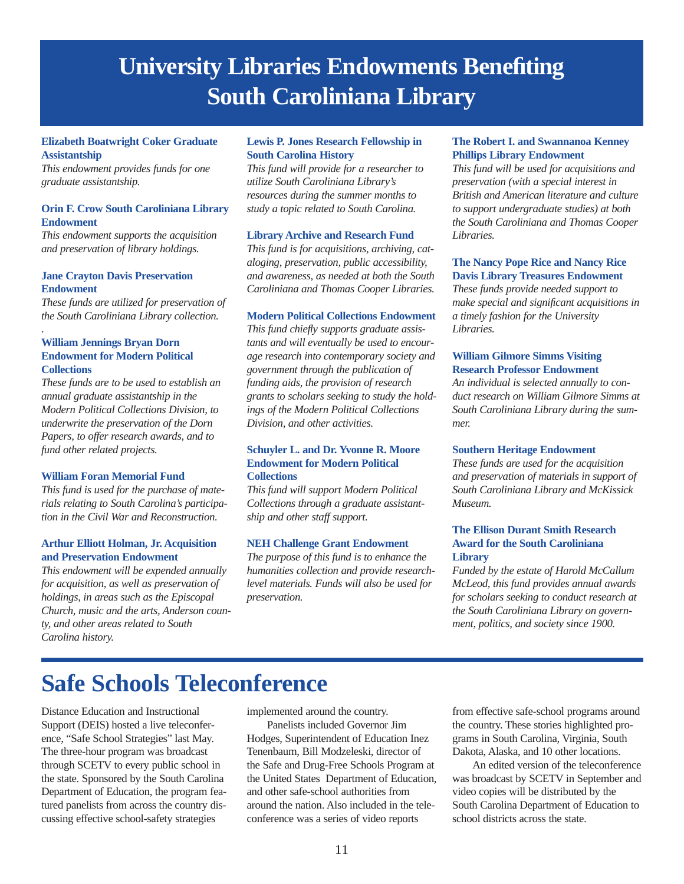## **University Libraries Endowments Benefiting South Caroliniana Library**

#### **Elizabeth Boatwright Coker Graduate Assistantship**

*This endowment provides funds for one graduate assistantship.*

#### **Orin F. Crow South Caroliniana Library Endowment**

*This endowment supports the acquisition and preservation of library holdings.*

#### **Jane Crayton Davis Preservation Endowment**

*These funds are utilized for preservation of the South Caroliniana Library collection.*

#### **William Jennings Bryan Dorn Endowment for Modern Political Collections**

.

*These funds are to be used to establish an annual graduate assistantship in the Modern Political Collections Division, to underwrite the preservation of the Dorn Papers, to offer research awards, and to fund other related projects.*

#### **William Foran Memorial Fund**

*This fund is used for the purchase of materials relating to South Carolina's participation in the Civil War and Reconstruction.*

#### **Arthur Elliott Holman, Jr. Acquisition and Preservation Endowment**

*This endowment will be expended annually for acquisition, as well as preservation of holdings, in areas such as the Episcopal Church, music and the arts, Anderson county, and other areas related to South Carolina history.*

#### **Lewis P. Jones Research Fellowship in South Carolina History**

*This fund will provide for a researcher to utilize South Caroliniana Library's resources during the summer months to study a topic related to South Carolina.*

#### **Library Archive and Research Fund**

*This fund is for acquisitions, archiving, cataloging, preservation, public accessibility, and awareness, as needed at both the South Caroliniana and Thomas Cooper Libraries.*

#### **Modern Political Collections Endowment**

*This fund chiefly supports graduate assistants and will eventually be used to encourage research into contemporary society and government through the publication of funding aids, the provision of research grants to scholars seeking to study the holdings of the Modern Political Collections Division, and other activities.*

#### **Schuyler L. and Dr. Yvonne R. Moore Endowment for Modern Political Collections**

*This fund will support Modern Political Collections through a graduate assistantship and other staff support.*

#### **NEH Challenge Grant Endowment**

*The purpose of this fund is to enhance the humanities collection and provide researchlevel materials. Funds will also be used for preservation.*

#### **The Robert I. and Swannanoa Kenney Phillips Library Endowment**

*This fund will be used for acquisitions and preservation (with a special interest in British and American literature and culture to support undergraduate studies) at both the South Caroliniana and Thomas Cooper Libraries.*

#### **The Nancy Pope Rice and Nancy Rice Davis Library Treasures Endowment**

*These funds provide needed support to make special and significant acquisitions in a timely fashion for the University Libraries.*

#### **William Gilmore Simms Visiting Research Professor Endowment**

*An individual is selected annually to conduct research on William Gilmore Simms at South Caroliniana Library during the summer.*

#### **Southern Heritage Endowment**

*These funds are used for the acquisition and preservation of materials in support of South Caroliniana Library and McKissick Museum.*

#### **The Ellison Durant Smith Research Award for the South Caroliniana Library**

*Funded by the estate of Harold McCallum McLeod, this fund provides annual awards for scholars seeking to conduct research at the South Caroliniana Library on government, politics, and society since 1900.*

## **Safe Schools Teleconference**

Distance Education and Instructional Support (DEIS) hosted a live teleconference, "Safe School Strategies" last May. The three-hour program was broadcast through SCETV to every public school in the state. Sponsored by the South Carolina Department of Education, the program featured panelists from across the country discussing effective school-safety strategies

implemented around the country.

Panelists included Governor Jim Hodges, Superintendent of Education Inez Tenenbaum, Bill Modzeleski, director of the Safe and Drug-Free Schools Program at the United States Department of Education, and other safe-school authorities from around the nation. Also included in the teleconference was a series of video reports

from effective safe-school programs around the country. These stories highlighted programs in South Carolina, Virginia, South Dakota, Alaska, and 10 other locations.

An edited version of the teleconference was broadcast by SCETV in September and video copies will be distributed by the South Carolina Department of Education to school districts across the state.